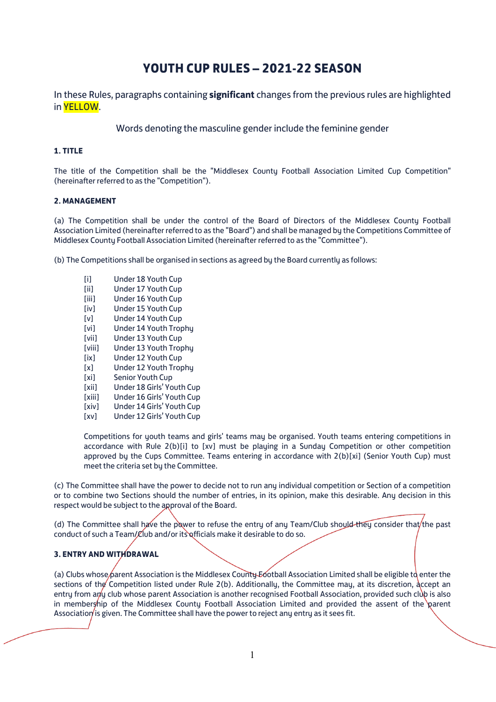# **YOUTH CUP RULES – 2021-22 SEASON**

In these Rules, paragraphs containing **significant** changes from the previous rules are highlighted in YELLOW.

Words denoting the masculine gender include the feminine gender

# **1. TITLE**

The title of the Competition shall be the "Middlesex County Football Association Limited Cup Competition" (hereinafter referred to as the "Competition").

## **2. MANAGEMENT**

(a) The Competition shall be under the control of the Board of Directors of the Middlesex Countu Football Association Limited (hereinafter referred to as the "Board") and shall be managed by the Competitions Committee of Middlesex County Football Association Limited (hereinafter referred to as the "Committee").

(b) The Competitions shall be organised in sections as agreed by the Board currently as follows:

- [i] Under 18 Youth Cup
- [ii] Under 17 Youth Cup
- [iii] Under 16 Youth Cup
- [iv] Under 15 Youth Cup
- [v] Under 14 Youth Cup
- [vi] Under 14 Youth Trophy
- [vii] Under 13 Youth Cup
- [viii] Under 13 Youth Trophy
- [ix] Under 12 Youth Cup [x] Under 12 Youth Trophy
- 
- [xi] Senior Youth Cup
- [xii] Under 18 Girls' Youth Cup
- [xiii] Under 16 Girls' Youth Cup
- [xiv] Under 14 Girls' Youth Cup
- [xv] Under 12 Girls' Youth Cup

Competitions for youth teams and girls' teams may be organised. Youth teams entering competitions in accordance with Rule 2(b)[i] to [xv] must be playing in a Sunday Competition or other competition approved by the Cups Committee. Teams entering in accordance with 2(b)[xi] (Senior Youth Cup) must meet the criteria set by the Committee.

(c) The Committee shall have the power to decide not to run any individual competition or Section of a competition or to combine two Sections should the number of entries, in its opinion, make this desirable. Any decision in this respect would be subject to the approval of the Board.

(d) The Committee shall have the power to refuse the entry of any Team/Club should they consider that the past conduct of such a Team/Club and/or its officials make it desirable to do so.

# **3. ENTRY AND WITHDRAWAL**

(a) Clubs whose parent Association is the Middlesex County Football Association Limited shall be eligible to enter the sections of the Competition listed under Rule 2(b). Additionally, the Committee may, at its discretion, accept an entry from any club whose parent Association is another recognised Football Association, provided such club is also in membership of the Middlesex Countu Football Association Limited and provided the assent of the parent Association is given. The Committee shall have the power to reject any entry as it sees fit.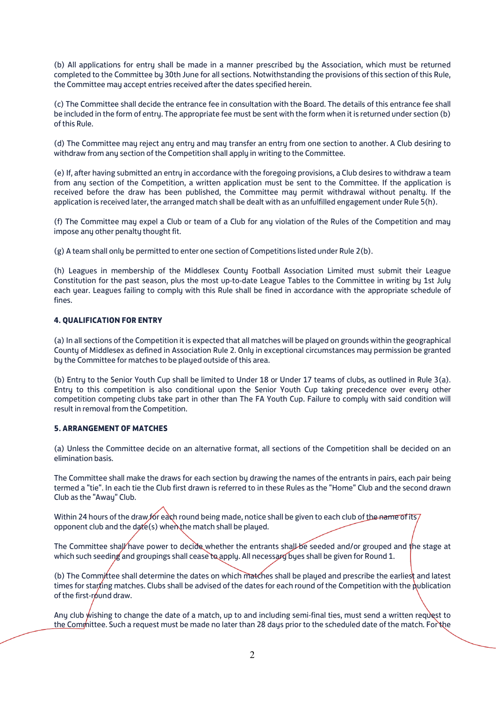(b) All applications for entry shall be made in a manner prescribed by the Association, which must be returned completed to the Committee by 30th June for all sections. Notwithstanding the provisions of this section of this Rule, the Committee may accept entries received after the dates specified herein.

(c) The Committee shall decide the entrance fee in consultation with the Board. The details of this entrance fee shall be included in the form of entry. The appropriate fee must be sent with the form when it is returned under section (b) of this Rule.

(d) The Committee may reject any entry and may transfer an entry from one section to another. A Club desiring to withdraw from any section of the Competition shall apply in writing to the Committee.

(e) If, after having submitted an entry in accordance with the foregoing provisions, a Club desires to withdraw a team from any section of the Competition, a written application must be sent to the Committee. If the application is received before the draw has been published, the Committee may permit withdrawal without penalty. If the application is received later, the arranged match shall be dealt with as an unfulfilled engagement under Rule 5(h).

(f) The Committee may expel a Club or team of a Club for any violation of the Rules of the Competition and may impose any other penalty thought fit.

(g) A team shall only be permitted to enter one section of Competitions listed under Rule 2(b).

(h) Leagues in membership of the Middlesex County Football Association Limited must submit their League Constitution for the past season, plus the most up-to-date League Tables to the Committee in writing by 1st July each year. Leagues failing to comply with this Rule shall be fined in accordance with the appropriate schedule of fines.

## **4. QUALIFICATION FOR ENTRY**

(a) In all sections of the Competition it is expected that all matches will be played on grounds within the geographical County of Middlesex as defined in Association Rule 2. Only in exceptional circumstances may permission be granted by the Committee for matches to be played outside of this area.

(b) Entry to the Senior Youth Cup shall be limited to Under 18 or Under 17 teams of clubs, as outlined in Rule 3(a). Entry to this competition is also conditional upon the Senior Youth Cup taking precedence over every other competition competing clubs take part in other than The FA Youth Cup. Failure to comply with said condition will result in removal from the Competition.

## **5. ARRANGEMENT OF MATCHES**

(a) Unless the Committee decide on an alternative format, all sections of the Competition shall be decided on an elimination basis.

The Committee shall make the draws for each section by drawing the names of the entrants in pairs, each pair being termed a "tie". In each tie the Club first drawn is referred to in these Rules as the "Home" Club and the second drawn Club as the "Away" Club.

Within 24 hours of the draw for each round being made, notice shall be given to each club of the name of its/ opponent club and the date(s) when the match shall be played.

The Committee shall have power to decide whether the entrants shall be seeded and/or grouped and the stage at which such seeding and groupings shall cease to apply. All necessary byes shall be given for Round 1.

(b) The Committee shall determine the dates on which matches shall be played and prescribe the earliest and latest times for starting matches. Clubs shall be advised of the dates for each round of the Competition with the publication of the first-round draw.

Any club wishing to change the date of a match, up to and including semi-final ties, must send a written request to the Committee. Such a request must be made no later than 28 days prior to the scheduled date of the match. For the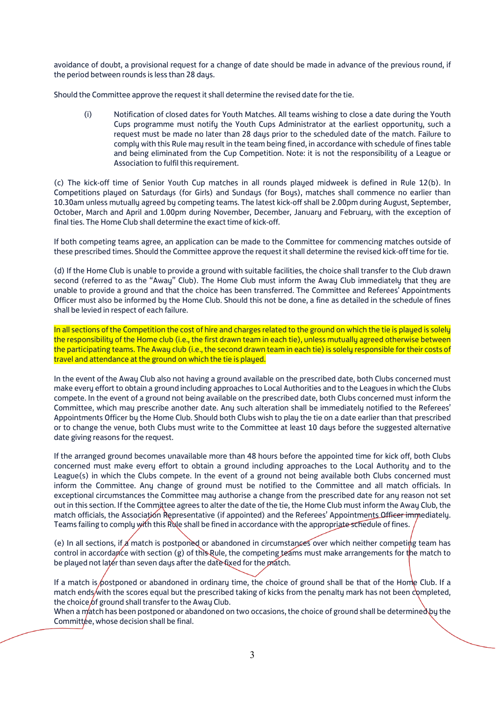avoidance of doubt, a provisional request for a change of date should be made in advance of the previous round, if the period between rounds is less than 28 days.

Should the Committee approve the request it shall determine the revised date for the tie.

(i) Notification of closed dates for Youth Matches. All teams wishing to close a date during the Youth Cups programme must notify the Youth Cups Administrator at the earliest opportunity, such a request must be made no later than 28 days prior to the scheduled date of the match. Failure to comply with this Rule may result in the team being fined, in accordance with schedule of fines table and being eliminated from the Cup Competition. Note: it is not the responsibility of a League or Association to fulfil this requirement.

(c) The kick-off time of Senior Youth Cup matches in all rounds played midweek is defined in Rule 12(b). In Competitions played on Saturdays (for Girls) and Sundays (for Boys), matches shall commence no earlier than 10.30am unless mutually agreed by competing teams. The latest kick-off shall be 2.00pm during August, September, October, March and April and 1.00pm during November, December, January and February, with the exception of final ties. The Home Club shall determine the exact time of kick-off.

If both competing teams agree, an application can be made to the Committee for commencing matches outside of these prescribed times. Should the Committee approve the request it shall determine the revised kick-off time for tie.

(d) If the Home Club is unable to provide a ground with suitable facilities, the choice shall transfer to the Club drawn second (referred to as the "Awau" Club). The Home Club must inform the Awau Club immediatelu that theu are unable to provide a ground and that the choice has been transferred. The Committee and Referees' Appointments Officer must also be informed by the Home Club. Should this not be done, a fine as detailed in the schedule of fines shall be levied in respect of each failure.

In all sections of the Competition the cost of hire and charges related to the ground on which the tie is played is solely the responsibility of the Home club (i.e., the first drawn team in each tie), unless mutually agreed otherwise between the participating teams. The Away club (i.e., the second drawn team in each tie) is solely responsible for their costs of travel and attendance at the ground on which the tie is played.

In the event of the Away Club also not having a ground available on the prescribed date, both Clubs concerned must make every effort to obtain a ground including approaches to Local Authorities and to the Leagues in which the Clubs compete. In the event of a ground not being available on the prescribed date, both Clubs concerned must inform the Committee, which may prescribe another date. Any such alteration shall be immediately notified to the Referees' Appointments Officer by the Home Club. Should both Clubs wish to play the tie on a date earlier than that prescribed or to change the venue, both Clubs must write to the Committee at least 10 days before the suggested alternative date giving reasons for the request.

If the arranged ground becomes unavailable more than 48 hours before the appointed time for kick off, both Clubs concerned must make every effort to obtain a ground including approaches to the Local Authority and to the League(s) in which the Clubs compete. In the event of a ground not being available both Clubs concerned must inform the Committee. Any change of ground must be notified to the Committee and all match officials. In exceptional circumstances the Committee may authorise a change from the prescribed date for any reason not set out in this section. If the Committee agrees to alter the date of the tie, the Home Club must inform the Away Club, the match officials, the Association Representative (if appointed) and the Referees' Appointments Officer immediately. Teams failing to comply with this Rule shall be fined in accordance with the appropriate schedule of fines.

(e) In all sections, if a match is postponed or abandoned in circumstances over which neither competing team has control in accordance with section (g) of this Rule, the competing teams must make arrangements for the match to be played not later than seven days after the date fixed for the match.

If a match is postponed or abandoned in ordinary time, the choice of ground shall be that of the Home Club. If a match ends with the scores equal but the prescribed taking of kicks from the penalty mark has not been completed, the choice of ground shall transfer to the Away Club.

When a match has been postponed or abandoned on two occasions, the choice of ground shall be determined by the Committee, whose decision shall be final.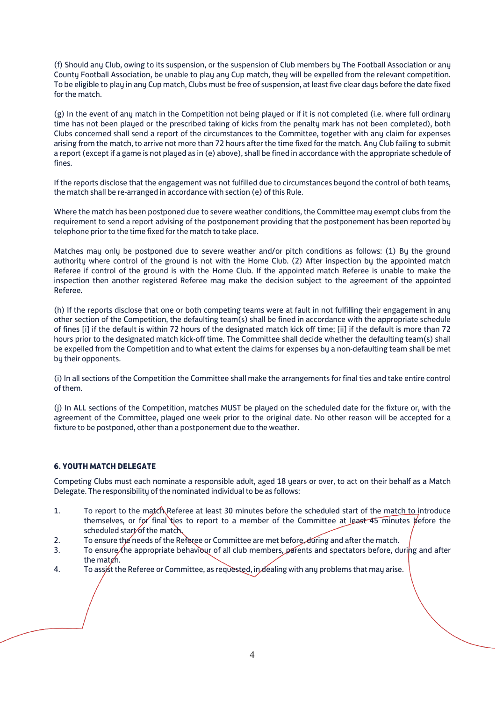(f) Should any Club, owing to its suspension, or the suspension of Club members by The Football Association or any County Football Association, be unable to play any Cup match, they will be expelled from the relevant competition. To be eligible to play in any Cup match, Clubs must be free of suspension, at least five clear days before the date fixed for the match.

(g) In the event of any match in the Competition not being played or if it is not completed (i.e. where full ordinary time has not been played or the prescribed taking of kicks from the penalty mark has not been completed), both Clubs concerned shall send a report of the circumstances to the Committee, together with any claim for expenses arising from the match, to arrive not more than 72 hours after the time fixed for the match. Any Club failing to submit a report (except if a game is not played as in (e) above), shall be fined in accordance with the appropriate schedule of fines.

If the reports disclose that the engagement was not fulfilled due to circumstances beyond the control of both teams, the match shall be re-arranged in accordance with section (e) of this Rule.

Where the match has been postponed due to severe weather conditions, the Committee may exempt clubs from the requirement to send a report advising of the postponement providing that the postponement has been reported by telephone prior to the time fixed for the match to take place.

Matches may only be postponed due to severe weather and/or pitch conditions as follows: (1) By the ground authority where control of the ground is not with the Home Club. (2) After inspection by the appointed match Referee if control of the ground is with the Home Club. If the appointed match Referee is unable to make the inspection then another registered Referee may make the decision subject to the agreement of the appointed Referee.

(h) If the reports disclose that one or both competing teams were at fault in not fulfilling their engagement in any other section of the Competition, the defaulting team(s) shall be fined in accordance with the appropriate schedule of fines [i] if the default is within 72 hours of the designated match kick off time; [ii] if the default is more than 72 hours prior to the designated match kick-off time. The Committee shall decide whether the defaulting team(s) shall be expelled from the Competition and to what extent the claims for expenses by a non-defaulting team shall be met by their opponents.

(i) In all sections of the Competition the Committee shall make the arrangements for final ties and take entire control of them.

(j) In ALL sections of the Competition, matches MUST be played on the scheduled date for the fixture or, with the agreement of the Committee, played one week prior to the original date. No other reason will be accepted for a fixture to be postponed, other than a postponement due to the weather.

# **6. YOUTH MATCH DELEGATE**

Competing Clubs must each nominate a responsible adult, aged 18 years or over, to act on their behalf as a Match Delegate. The responsibility of the nominated individual to be as follows:

- 1. To report to the match Referee at least 30 minutes before the scheduled start of the match to introduce themselves, or for final ties to report to a member of the Committee at least 45 minutes before the scheduled start of the match.
- 2. To ensure the needs of the Referee or Committee are met before, during and after the match.
- 3. To ensure the appropriate behaviour of all club members, parents and spectators before, during and after the match.
- 4. To assist the Referee or Committee, as requested, in dealing with any problems that may arise.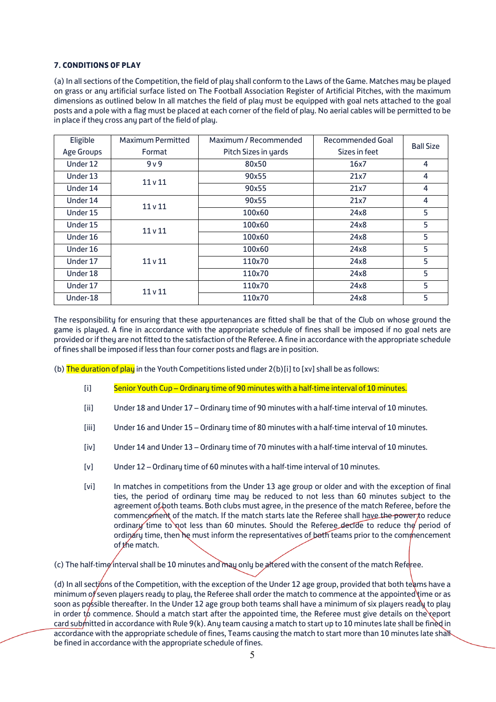# **7. CONDITIONS OF PLAY**

(a) In all sections of the Competition, the field of play shall conform to the Laws of the Game. Matches may be played on grass or any artificial surface listed on The Football Association Register of Artificial Pitches, with the maximum dimensions as outlined below In all matches the field of play must be equipped with goal nets attached to the goal posts and a pole with a flag must be placed at each corner of the field of play. No aerial cables will be permitted to be in place if they cross any part of the field of play.

| Eligible   | <b>Maximum Permitted</b><br>Maximum / Recommended |                      | Recommended Goal |                  |  |
|------------|---------------------------------------------------|----------------------|------------------|------------------|--|
| Age Groups | Format                                            | Pitch Sizes in yards | Sizes in feet    | <b>Ball Size</b> |  |
| Under 12   | 9v9                                               | 80x50                | 16x7             | $\overline{4}$   |  |
| Under 13   | 11 <sub>v</sub> 11                                | 90x55                | 21x7             | 4                |  |
| Under 14   |                                                   | 90x55                | 21x7             | $\overline{4}$   |  |
| Under 14   | 11 <sub>v</sub> 11                                | 90x55                | 21x7             | 4                |  |
| Under 15   |                                                   | 100x60               | 24x8             | 5                |  |
| Under 15   | 11 <sub>v</sub> 11                                | 100x60               | 24x8             | 5                |  |
| Under 16   |                                                   | 100x60               | 24x8             | 5                |  |
| Under 16   |                                                   | 100x60               | 24x8             | 5                |  |
| Under 17   | 11 <sub>v</sub> 11                                | 110x70               | 24x8             | 5                |  |
| Under 18   |                                                   | 110×70<br>24x8       |                  | 5                |  |
| Under 17   | 11 <sub>v</sub> 11                                | 110x70               | 24x8             | 5                |  |
| Under-18   |                                                   | 110x70               | 24x8             | 5                |  |

The responsibility for ensuring that these appurtenances are fitted shall be that of the Club on whose ground the game is played. A fine in accordance with the appropriate schedule of fines shall be imposed if no goal nets are provided or if they are not fitted to the satisfaction of the Referee. A fine in accordance with the appropriate schedule of fines shall be imposed if less than four corner posts and flags are in position.

(b) The duration of play in the Youth Competitions listed under  $2(b)$  [i] to [xv] shall be as follows:

- [i] Senior Youth Cup Ordinary time of 90 minutes with a half-time interval of 10 minutes.
- [ii] Under 18 and Under 17 Ordinary time of 90 minutes with a half-time interval of 10 minutes.
- [iii] Under 16 and Under 15 Ordinary time of 80 minutes with a half-time interval of 10 minutes.
- [iv] Under 14 and Under 13 Ordinary time of 70 minutes with a half-time interval of 10 minutes.
- [v] Under 12 Ordinary time of 60 minutes with a half-time interval of 10 minutes.
- [vi] In matches in competitions from the Under 13 age group or older and with the exception of final ties, the period of ordinary time may be reduced to not less than 60 minutes subject to the agreement of both teams. Both clubs must agree, in the presence of the match Referee, before the commencement of the match. If the match starts late the Referee shall have the power to reduce ordinary time to not less than 60 minutes. Should the Referee decide to reduce the period of ordinary time, then he must inform the representatives of both teams prior to the commencement of the match.
- (c) The half-time interval shall be 10 minutes and may only be aftered with the consent of the match Referee.

(d) In all sections of the Competition, with the exception of the Under 12 age group, provided that both teams have a minimum of seven players ready to play, the Referee shall order the match to commence at the appointed time or as soon as possible thereafter. In the Under 12 age group both teams shall have a minimum of six players ready to play in order to commence. Should a match start after the appointed time, the Referee must give details on the report card submitted in accordance with Rule 9(k). Any team causing a match to start up to 10 minutes late shall be fined in accordance with the appropriate schedule of fines, Teams causing the match to start more than 10 minutes late shall be fined in accordance with the appropriate schedule of fines.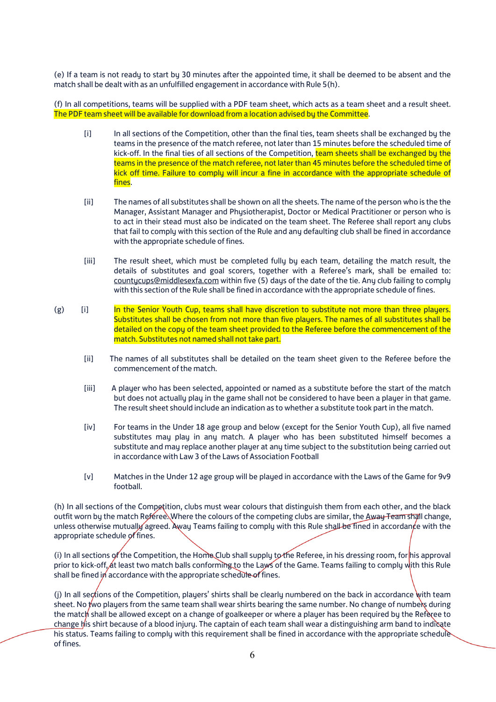(e) If a team is not ready to start by 30 minutes after the appointed time, it shall be deemed to be absent and the match shall be dealt with as an unfulfilled engagement in accordance with Rule 5(h).

(f) In all competitions, teams will be supplied with a PDF team sheet, which acts as a team sheet and a result sheet. The PDF team sheet will be available for download from a location advised by the Committee.

- [i] In all sections of the Competition, other than the final ties, team sheets shall be exchanged by the teams in the presence of the match referee, not later than 15 minutes before the scheduled time of kick-off. In the final ties of all sections of the Competition, team sheets shall be exchanged by the teams in the presence of the match referee, not later than 45 minutes before the scheduled time of kick off time. Failure to comply will incur a fine in accordance with the appropriate schedule of fines.
- [ii] The names of all substitutes shall be shown on all the sheets. The name of the person who is the the Manager, Assistant Manager and Physiotherapist, Doctor or Medical Practitioner or person who is to act in their stead must also be indicated on the team sheet. The Referee shall report any clubs that fail to comply with this section of the Rule and any defaulting club shall be fined in accordance with the appropriate schedule of fines.
- [iii] The result sheet, which must be completed fully by each team, detailing the match result, the details of substitutes and goal scorers, together with a Referee's mark, shall be emailed to: [countycups@middlesexfa.com](mailto:countycus@middlesexfa.com) within five (5) days of the date of the tie. Any club failing to comply with this section of the Rule shall be fined in accordance with the appropriate schedule of fines.
- (g) [i] In the Senior Youth Cup, teams shall have discretion to substitute not more than three players. Substitutes shall be chosen from not more than five players. The names of all substitutes shall be detailed on the copy of the team sheet provided to the Referee before the commencement of the match. Substitutes not named shall not take part.
	- [ii] The names of all substitutes shall be detailed on the team sheet given to the Referee before the commencement of the match.
	- [iii] A player who has been selected, appointed or named as a substitute before the start of the match but does not actually play in the game shall not be considered to have been a player in that game. The result sheet should include an indication as to whether a substitute took part in the match.
	- [iv] For teams in the Under 18 age group and below (except for the Senior Youth Cup), all five named substitutes may play in any match. A player who has been substituted himself becomes a substitute and may replace another player at any time subject to the substitution being carried out in accordance with Law 3 of the Laws of Association Football
	- [v] Matches in the Under 12 age group will be played in accordance with the Laws of the Game for 9v9 football.

(h) In all sections of the Competition, clubs must wear colours that distinguish them from each other, and the black outfit worn bu the match Referee. Where the colours of the competing clubs are similar, the Awau Team shall change, unless otherwise mutually agreed. Away Teams failing to comply with this Rule shall be fined in accordance with the appropriate schedule of fines.

(i) In all sections of the Competition, the Home Club shall supply to the Referee, in his dressing room, for his approval prior to kick-off, at least two match balls conforming to the Laws of the Game. Teams failing to comply with this Rule shall be fined in accordance with the appropriate schedule of fines.

(j) In all sections of the Competition, players' shirts shall be clearly numbered on the back in accordance with team sheet. No two players from the same team shall wear shirts bearing the same number. No change of numbers during the match shall be allowed except on a change of goalkeeper or where a player has been required by the Referee to change his shirt because of a blood injury. The captain of each team shall wear a distinguishing arm band to indicate his status. Teams failing to comply with this requirement shall be fined in accordance with the appropriate schedule of fines.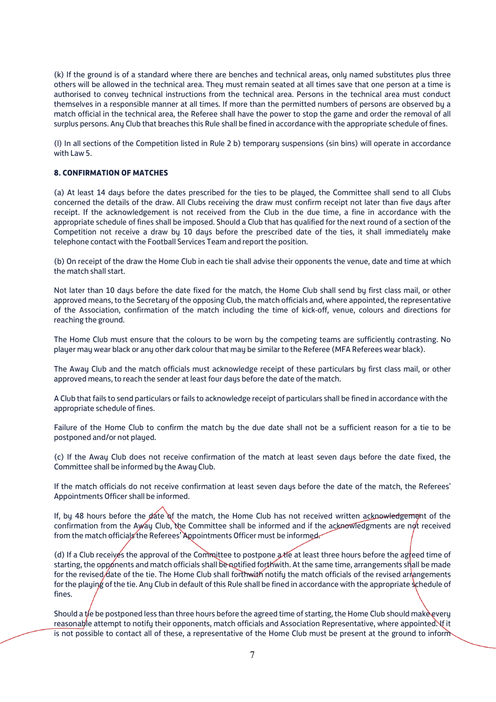(k) If the ground is of a standard where there are benches and technical areas, only named substitutes plus three others will be allowed in the technical area. They must remain seated at all times save that one person at a time is authorised to convey technical instructions from the technical area. Persons in the technical area must conduct themselves in a responsible manner at all times. If more than the permitted numbers of persons are observed by a match official in the technical area, the Referee shall have the power to stop the game and order the removal of all surplus persons. Any Club that breaches this Rule shall be fined in accordance with the appropriate schedule of fines.

(l) In all sections of the Competition listed in Rule 2 b) temporary suspensions (sin bins) will operate in accordance with Law 5.

## **8. CONFIRMATION OF MATCHES**

(a) At least 14 days before the dates prescribed for the ties to be played, the Committee shall send to all Clubs concerned the details of the draw. All Clubs receiving the draw must confirm receipt not later than five days after receipt. If the acknowledgement is not received from the Club in the due time, a fine in accordance with the appropriate schedule of fines shall be imposed. Should a Club that has qualified for the next round of a section of the Competition not receive a draw by 10 days before the prescribed date of the ties, it shall immediately make telephone contact with the Football Services Team and report the position.

(b) On receipt of the draw the Home Club in each tie shall advise their opponents the venue, date and time at which the match shall start.

Not later than 10 daus before the date fixed for the match, the Home Club shall send bu first class mail, or other approved means, to the Secretary of the opposing Club, the match officials and, where appointed, the representative of the Association, confirmation of the match including the time of kick-off, venue, colours and directions for reaching the ground.

The Home Club must ensure that the colours to be worn by the competing teams are sufficiently contrasting. No player may wear black or any other dark colour that may be similar to the Referee (MFA Referees wear black).

The Away Club and the match officials must acknowledge receipt of these particulars by first class mail, or other approved means, to reach the sender at least four days before the date of the match.

A Club that fails to send particulars or fails to acknowledge receipt of particulars shall be fined in accordance with the appropriate schedule of fines.

Failure of the Home Club to confirm the match by the due date shall not be a sufficient reason for a tie to be postponed and/or not played.

(c) If the Away Club does not receive confirmation of the match at least seven days before the date fixed, the Committee shall be informed by the Away Club.

If the match officials do not receive confirmation at least seven days before the date of the match, the Referees' Appointments Officer shall be informed.

If, by 48 hours before the date of the match, the Home Club has not received written acknowledgement of the confirmation from the Away Club, the Committee shall be informed and if the acknowledgments are not received from the match officials the Referees' Appointments Officer must be informed.

(d) If a Club receives the approval of the Committee to postpone a tie at least three hours before the agreed time of starting, the opponents and match officials shall be notified forthwith. At the same time, arrangements shall be made for the revised date of the tie. The Home Club shall forthwith notify the match officials of the revised arrangements for the playing of the tie. Any Club in default of this Rule shall be fined in accordance with the appropriate schedule of fines.

Should a tie be postponed less than three hours before the agreed time of starting, the Home Club should make every reasonable attempt to notify their opponents, match officials and Association Representative, where appointed. If it is not possible to contact all of these, a representative of the Home Club must be present at the ground to inform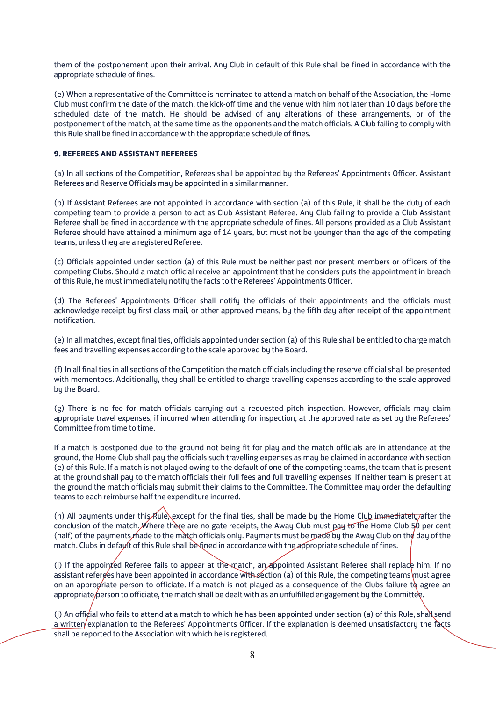them of the postponement upon their arrival. Any Club in default of this Rule shall be fined in accordance with the appropriate schedule of fines.

(e) When a representative of the Committee is nominated to attend a match on behalf of the Association, the Home Club must confirm the date of the match, the kick-off time and the venue with him not later than 10 days before the scheduled date of the match. He should be advised of any alterations of these arrangements, or of the postponement of the match, at the same time as the opponents and the match officials. A Club failing to comply with this Rule shall be fined in accordance with the appropriate schedule of fines.

# **9. REFEREES AND ASSISTANT REFEREES**

(a) In all sections of the Competition, Referees shall be appointed by the Referees' Appointments Officer. Assistant Referees and Reserve Officials may be appointed in a similar manner.

(b) If Assistant Referees are not appointed in accordance with section (a) of this Rule, it shall be the duty of each competing team to provide a person to act as Club Assistant Referee. Any Club failing to provide a Club Assistant Referee shall be fined in accordance with the appropriate schedule of fines. All persons provided as a Club Assistant Referee should have attained a minimum age of 14 years, but must not be younger than the age of the competing teams, unless they are a registered Referee.

(c) Officials appointed under section (a) of this Rule must be neither past nor present members or officers of the competing Clubs. Should a match official receive an appointment that he considers puts the appointment in breach of this Rule, he must immediately notify the facts to the Referees' Appointments Officer.

(d) The Referees' Appointments Officer shall notify the officials of their appointments and the officials must acknowledge receipt by first class mail, or other approved means, by the fifth day after receipt of the appointment notification.

(e) In all matches, except final ties, officials appointed under section (a) of this Rule shall be entitled to charge match fees and travelling expenses according to the scale approved by the Board.

(f) In all final ties in all sections of the Competition the match officials including the reserve official shall be presented with mementoes. Additionally, they shall be entitled to charge travelling expenses according to the scale approved by the Board.

(g) There is no fee for match officials carrying out a requested pitch inspection. However, officials may claim appropriate travel expenses, if incurred when attending for inspection, at the approved rate as set by the Referees' Committee from time to time.

If a match is postponed due to the ground not being fit for play and the match officials are in attendance at the ground, the Home Club shall pay the officials such travelling expenses as may be claimed in accordance with section (e) of this Rule. If a match is not played owing to the default of one of the competing teams, the team that is present at the ground shall pay to the match officials their full fees and full travelling expenses. If neither team is present at the ground the match officials may submit their claims to the Committee. The Committee may order the defaulting teams to each reimburse half the expenditure incurred.

(h) All payments under this Rule, except for the final ties, shall be made by the Home Club immediately after the conclusion of the match. Where there are no gate receipts, the Away Club must pay to the Home Club  $50$  per cent (half) of the payments made to the match officials only. Payments must be made by the Away Club on the day of the match. Clubs in default of this Rule shall be fined in accordance with the appropriate schedule of fines.

(i) If the appointed Referee fails to appear at the match, an appointed Assistant Referee shall replace him. If no assistant referges have been appointed in accordance with section (a) of this Rule, the competing teams must agree on an appropriate person to officiate. If a match is not played as a consequence of the Clubs failure to agree an appropriate person to officiate, the match shall be dealt with as an unfulfilled engagement by the Committee.

(j) An official who fails to attend at a match to which he has been appointed under section (a) of this Rule, shall send a written explanation to the Referees' Appointments Officer. If the explanation is deemed unsatisfactory the facts shall be reported to the Association with which he is registered.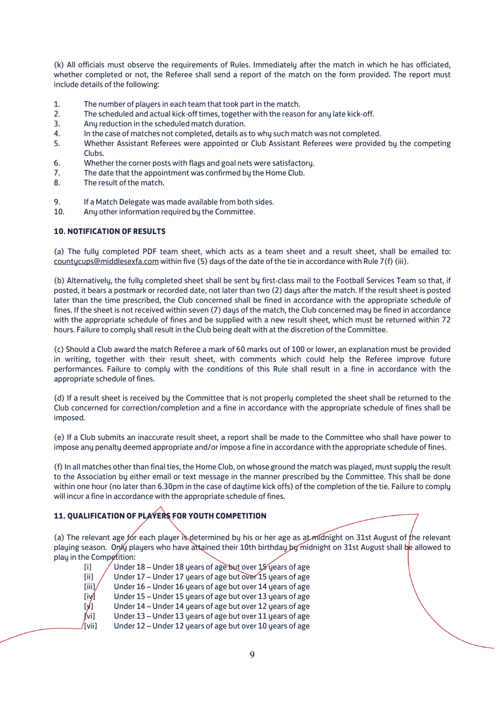(k) All officials must observe the requirements of Rules. Immediately after the match in which he has officiated, whether completed or not, the Referee shall send a report of the match on the form provided. The report must include details of the following:

- 1. The number of players in each team that took part in the match.
- 2. The scheduled and actual kick-off times, together with the reason for any late kick-off.
- 3. Any reduction in the scheduled match duration.
- 4. In the case of matches not completed, details as to why such match was not completed.
- 5. Whether Assistant Referees were appointed or Club Assistant Referees were provided by the competing Clubs.
- 6. Whether the corner posts with flags and goal nets were satisfactory.
- 7. The date that the appointment was confirmed by the Home Club.
- 8. The result of the match.
- 9. If a Match Delegate was made available from both sides.
- 10. Any other information required by the Committee.

# **10. NOTIFICATION OF RESULTS**

(a) The fully completed PDF team sheet, which acts as a team sheet and a result sheet, shall be emailed to: countucups@middlesexfa.com within five (5) daus of the date of the tie in accordance with Rule 7(f) (iii).

(b) Alternatively, the fully completed sheet shall be sent by first-class mail to the Football Services Team so that, if posted, it bears a postmark or recorded date, not later than two (2) daus after the match. If the result sheet is posted later than the time prescribed, the Club concerned shall be fined in accordance with the appropriate schedule of fines. If the sheet is not received within seven (7) days of the match, the Club concerned may be fined in accordance with the appropriate schedule of fines and be supplied with a new result sheet, which must be returned within 72 hours. Failure to comply shall result in the Club being dealt with at the discretion of the Committee.

(c) Should a Club award the match Referee a mark of 60 marks out of 100 or lower, an explanation must be provided in writing, together with their result sheet, with comments which could help the Referee improve future performances. Failure to comply with the conditions of this Rule shall result in a fine in accordance with the appropriate schedule of fines.

(d) If a result sheet is received by the Committee that is not properly completed the sheet shall be returned to the Club concerned for correction/completion and a fine in accordance with the appropriate schedule of fines shall be imposed.

(e) If a Club submits an inaccurate result sheet, a report shall be made to the Committee who shall have power to impose any penalty deemed appropriate and/or impose a fine in accordance with the appropriate schedule of fines.

(f) In all matches other than final ties, the Home Club, on whose ground the match was played, must supply the result to the Association by either email or text message in the manner prescribed by the Committee. This shall be done within one hour (no later than 6.30pm in the case of daytime kick offs) of the completion of the tie. Failure to comply will incur a fine in accordance with the appropriate schedule of fines.

# **11. QUALIFICATION OF PLAYERS FOR YOUTH COMPETITION**

(a) The relevant age for each player is determined by his or her age as at midnight on 31st August of the relevant playing season. Only players who have attained their 10th birthday by midnight on 31st August shall be allowed to play in the Competition:

| [1]                      | Under $18$ – Under 18 years of age but over $15$ years of age |
|--------------------------|---------------------------------------------------------------|
| [iii]                    | Under 17 - Under 17 years of age but over 15 years of age     |
| [iii]                    | Under 16 – Under 16 years of age but over 14 years of age     |
| [iv                      | Under 15 – Under 15 years of age but over 13 years of age     |
| $\lceil \sqrt{1} \rceil$ | Under 14 – Under 14 years of age but over 12 years of age     |
| [vi]                     | Under 13 – Under 13 years of age but over 11 years of age     |
| /[vii]                   | Under 12 – Under 12 years of age but over 10 years of age     |
|                          |                                                               |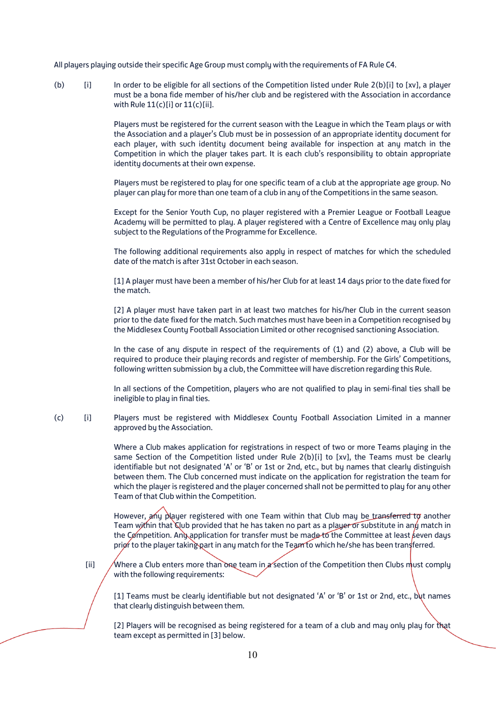All players playing outside their specific Age Group must comply with the requirements of FA Rule C4.

(b) [i] In order to be eligible for all sections of the Competition listed under Rule 2(b)[i] to [xv], a player must be a bona fide member of his/her club and be registered with the Association in accordance with Rule 11(c)[i] or 11(c)[ii].

> Players must be registered for the current season with the League in which the Team plays or with the Association and a player's Club must be in possession of an appropriate identity document for each player, with such identity document being available for inspection at any match in the Competition in which the player takes part. It is each club's responsibility to obtain appropriate identity documents at their own expense.

> Players must be registered to play for one specific team of a club at the appropriate age group. No player can play for more than one team of a club in any of the Competitions in the same season.

> Except for the Senior Youth Cup, no player registered with a Premier League or Football League Academy will be permitted to play. A player registered with a Centre of Excellence may only play subject to the Regulations of the Programme for Excellence.

> The following additional requirements also apply in respect of matches for which the scheduled date of the match is after 31st October in each season.

> [1] A player must have been a member of his/her Club for at least 14 days prior to the date fixed for the match.

> [2] A player must have taken part in at least two matches for his/her Club in the current season prior to the date fixed for the match. Such matches must have been in a Competition recognised by the Middlesex County Football Association Limited or other recognised sanctioning Association.

> In the case of any dispute in respect of the requirements of (1) and (2) above, a Club will be required to produce their playing records and register of membership. For the Girls' Competitions, following written submission by a club, the Committee will have discretion regarding this Rule.

> In all sections of the Competition, players who are not qualified to play in semi-final ties shall be ineligible to play in final ties.

(c) [i] Players must be registered with Middlesex County Football Association Limited in a manner approved by the Association.

> Where a Club makes application for registrations in respect of two or more Teams playing in the same Section of the Competition listed under Rule 2(b)[i] to [xv], the Teams must be clearly identifiable but not designated 'A' or 'B' or 1st or 2nd, etc., but by names that clearly distinguish between them. The Club concerned must indicate on the application for registration the team for which the player is registered and the player concerned shall not be permitted to play for any other Team of that Club within the Competition.

> However, any player registered with one Team within that Club may be transferred to another Team within that Club provided that he has taken no part as a player or substitute in any match in the Competition. Any application for transfer must be made to the Committee at least seven days prior to the player taking part in any match for the Team to which he/she has been transferred.

[ii] Where a Club enters more than one team in a section of the Competition then Clubs must comply with the following requirements:

[1] Teams must be clearly identifiable but not designated 'A' or 'B' or 1st or 2nd, etc., but names that clearly distinguish between them.

[2] Players will be recognised as being registered for a team of a club and may only play for that team except as permitted in [3] below.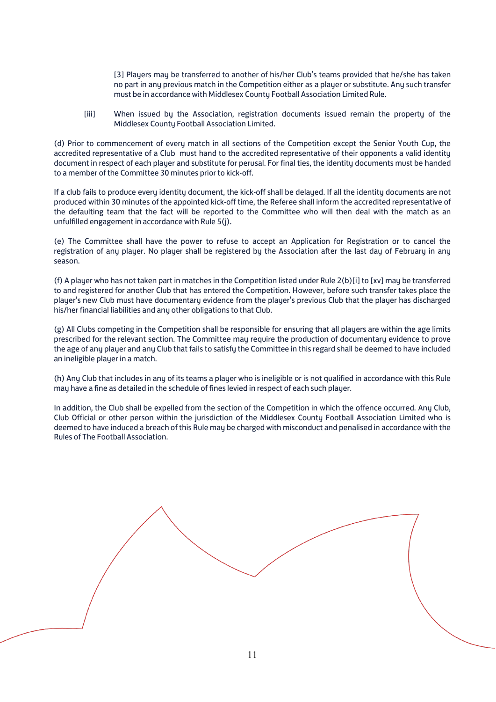[3] Players may be transferred to another of his/her Club's teams provided that he/she has taken no part in any previous match in the Competition either as a player or substitute. Any such transfer must be in accordance with Middlesex County Football Association Limited Rule.

[iii] When issued by the Association, registration documents issued remain the property of the Middlesex County Football Association Limited.

(d) Prior to commencement of every match in all sections of the Competition except the Senior Youth Cup, the accredited representative of a Club must hand to the accredited representative of their opponents a valid identity document in respect of each player and substitute for perusal. For final ties, the identity documents must be handed to a member of the Committee 30 minutes prior to kick-off.

If a club fails to produce every identity document, the kick-off shall be delayed. If all the identity documents are not produced within 30 minutes of the appointed kick-off time, the Referee shall inform the accredited representative of the defaulting team that the fact will be reported to the Committee who will then deal with the match as an unfulfilled engagement in accordance with Rule 5(j).

(e) The Committee shall have the power to refuse to accept an Application for Registration or to cancel the registration of any player. No player shall be registered by the Association after the last day of February in any season.

(f) A player who has not taken part in matches in the Competition listed under Rule 2(b)[i] to [xv] may be transferred to and registered for another Club that has entered the Competition. However, before such transfer takes place the plauer's new Club must have documentary evidence from the player's previous Club that the player has discharged his/her financial liabilities and any other obligations to that Club.

(g) All Clubs competing in the Competition shall be responsible for ensuring that all players are within the age limits prescribed for the relevant section. The Committee may require the production of documentary evidence to prove the age of any player and any Club that fails to satisfy the Committee in this regard shall be deemed to have included an ineligible player in a match.

(h) Any Club that includes in any of its teams a player who is ineligible or is not qualified in accordance with this Rule may have a fine as detailed in the schedule of fines levied in respect of each such player.

In addition, the Club shall be expelled from the section of the Competition in which the offence occurred. Any Club, Club Official or other person within the jurisdiction of the Middlesex County Football Association Limited who is deemed to have induced a breach of this Rule may be charged with misconduct and penalised in accordance with the Rules of The Football Association.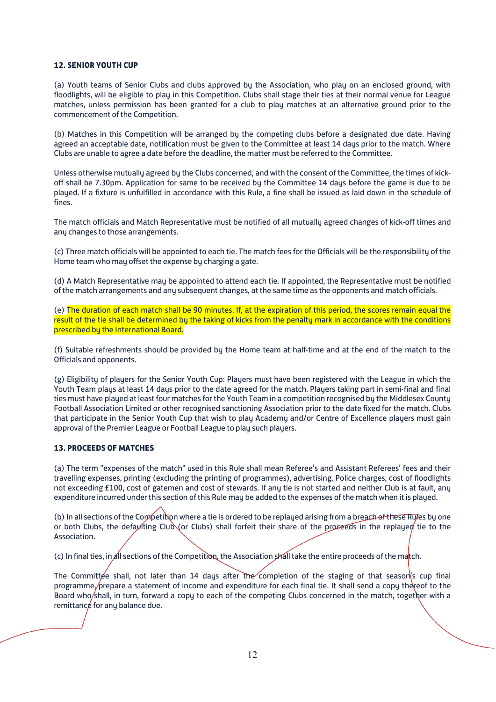#### **12. SENIOR YOUTH CUP**

(a) Youth teams of Senior Clubs and clubs approved by the Association, who play on an enclosed ground, with floodlights, will be eligible to play in this Competition. Clubs shall stage their ties at their normal venue for League matches, unless permission has been granted for a club to play matches at an alternative ground prior to the commencement of the Competition.

(b) Matches in this Competition will be arranged by the competing clubs before a designated due date. Having agreed an acceptable date, notification must be given to the Committee at least 14 days prior to the match. Where Clubs are unable to agree a date before the deadline, the matter must be referred to the Committee.

Unless otherwise mutuallu agreed bu the Clubs concerned, and with the consent of the Committee, the times of kickoff shall be 7.30pm. Application for same to be received by the Committee 14 days before the game is due to be played. If a fixture is unfulfilled in accordance with this Rule, a fine shall be issued as laid down in the schedule of fines.

The match officials and Match Representative must be notified of all mutually agreed changes of kick-off times and any changes to those arrangements.

(c) Three match officials will be appointed to each tie. The match fees for the Officials will be the responsibility of the Home team who may offset the expense by charging a gate.

(d) A Match Representative mau be appointed to attend each tie. If appointed, the Representative must be notified of the match arrangements and any subsequent changes, at the same time as the opponents and match officials.

(e) The duration of each match shall be 90 minutes. If, at the expiration of this period, the scores remain equal the result of the tie shall be determined by the taking of kicks from the penalty mark in accordance with the conditions prescribed by the International Board.

(f) Suitable refreshments should be provided by the Home team at half-time and at the end of the match to the Officials and opponents.

(g) Eligibility of players for the Senior Youth Cup: Players must have been registered with the League in which the Youth Team plays at least 14 days prior to the date agreed for the match. Players taking part in semi-final and final ties must have played at least four matches for the Youth Team in a competition recognised by the Middlesex County Football Association Limited or other recognised sanctioning Association prior to the date fixed for the match. Clubs that participate in the Senior Youth Cup that wish to play Academy and/or Centre of Excellence players must gain approval of the Premier League or Football League to play such players.

#### **13. PROCEEDS OF MATCHES**

(a) The term "expenses of the match" used in this Rule shall mean Referee's and Assistant Referees' fees and their travelling expenses, printing (excluding the printing of programmes), advertising, Police charges, cost of floodlights not exceeding £100, cost of gatemen and cost of stewards. If any tie is not started and neither Club is at fault, any expenditure incurred under this section of this Rule may be added to the expenses of the match when it is played.

(b) In all sections of the Competition where a tie is ordered to be replayed arising from a breach of these Rules by one or both Clubs, the defaulting Club (or Clubs) shall forfeit their share of the proceeds in the replayed tie to the Association.

(c) In final ties, in all sections of the Competition, the Association shall take the entire proceeds of the match.

The Committee shall, not later than 14 days after the completion of the staging of that season's cup final programme, prepare a statement of income and expenditure for each final tie. It shall send a copy thereof to the Board who/shall, in turn, forward a copy to each of the competing Clubs concerned in the match, together with a remittance for any balance due.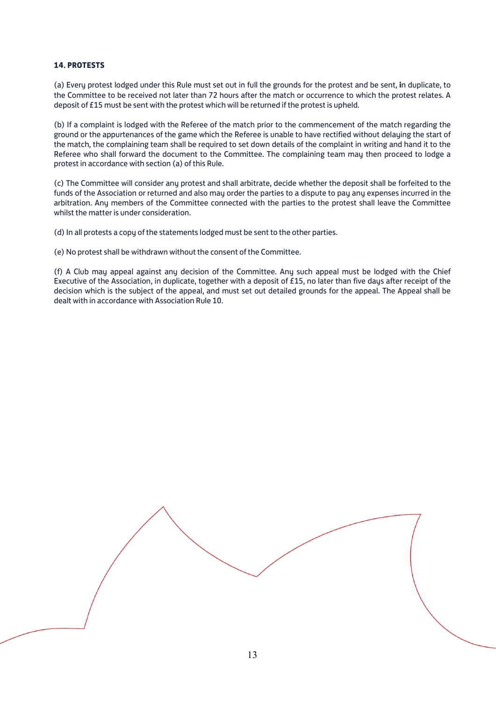#### **14. PROTESTS**

(a) Every protest lodged under this Rule must set out in full the grounds for the protest and be sent, **i**n duplicate, to the Committee to be received not later than 72 hours after the match or occurrence to which the protest relates. A deposit of £15 must be sent with the protest which will be returned if the protest is upheld.

(b) If a complaint is lodged with the Referee of the match prior to the commencement of the match regarding the ground or the appurtenances of the game which the Referee is unable to have rectified without delaying the start of the match, the complaining team shall be required to set down details of the complaint in writing and hand it to the Referee who shall forward the document to the Committee. The complaining team may then proceed to lodge a protest in accordance with section (a) of this Rule.

(c) The Committee will consider any protest and shall arbitrate, decide whether the deposit shall be forfeited to the funds of the Association or returned and also may order the parties to a dispute to pay any expenses incurred in the arbitration. Any members of the Committee connected with the parties to the protest shall leave the Committee whilst the matter is under consideration.

(d) In all protests a copy of the statements lodged must be sent to the other parties.

(e) No protest shall be withdrawn without the consent of the Committee.

(f) A Club may appeal against any decision of the Committee. Any such appeal must be lodged with the Chief Executive of the Association, in duplicate, together with a deposit of £15, no later than five days after receipt of the decision which is the subject of the appeal, and must set out detailed grounds for the appeal. The Appeal shall be dealt with in accordance with Association Rule 10.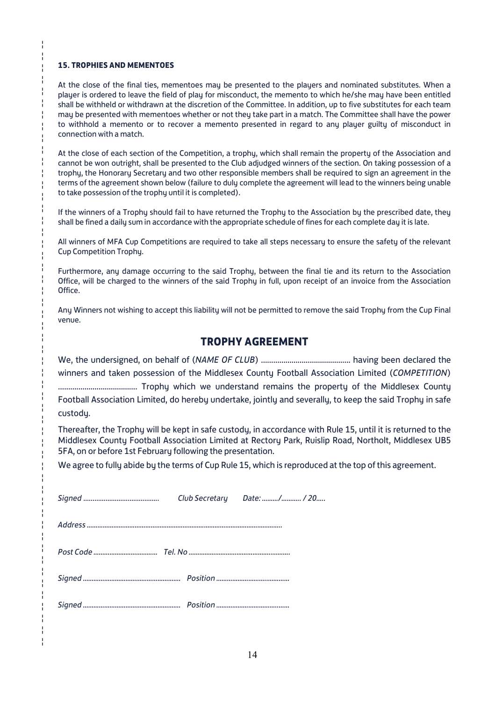# **15. TROPHIES AND MEMENTOES**

¦ ¦ ¦ ¦ ¦ ¦ ¦ ¦ ¦ ¦ ¦ ¦ ¦ ¦ ¦ ¦ ¦ ¦ ¦ ¦ ¦ ¦ ¦ ¦ ¦ ¦ ¦ ¦ ¦ ¦ ¦ ¦ ¦ ¦ ¦ ¦ ¦ ¦ ¦ ¦ ¦ ¦ ¦ ¦ ¦ ¦ ¦ ¦ ¦ ¦ ¦ ¦

At the close of the final ties, mementoes may be presented to the players and nominated substitutes. When a player is ordered to leave the field of play for misconduct, the memento to which he/she may have been entitled shall be withheld or withdrawn at the discretion of the Committee. In addition, up to five substitutes for each team may be presented with mementoes whether or not they take part in a match. The Committee shall have the power to withhold a memento or to recover a memento presented in regard to any player guilty of misconduct in connection with a match.

At the close of each section of the Competition, a trophy, which shall remain the property of the Association and cannot be won outright, shall be presented to the Club adjudged winners of the section. On taking possession of a trophu, the Honorary Secretary and two other responsible members shall be required to sign an agreement in the terms of the agreement shown below (failure to duly complete the agreement will lead to the winners being unable to take possession of the trophy until it is completed).

If the winners of a Trophy should fail to have returned the Trophy to the Association by the prescribed date, they shall be fined a daily sum in accordance with the appropriate schedule of fines for each complete day it is late.

All winners of MFA Cup Competitions are required to take all steps necessary to ensure the safety of the relevant Cup Competition Trophy.

Furthermore, any damage occurring to the said Trophy, between the final tie and its return to the Association Office, will be charged to the winners of the said Trophy in full, upon receipt of an invoice from the Association Office.

Any Winners not wishing to accept this liability will not be permitted to remove the said Trophy from the Cup Final venue.

# **TROPHY AGREEMENT**

| winners and taken possession of the Middlesex County Football Association Limited (COMPETITION)           |  |
|-----------------------------------------------------------------------------------------------------------|--|
|                                                                                                           |  |
| Football Association Limited, do hereby undertake, jointly and severally, to keep the said Trophy in safe |  |
| custody.                                                                                                  |  |

Thereafter, the Trophy will be kept in safe custody, in accordance with Rule 15, until it is returned to the Middlesex County Football Association Limited at Rectory Park, Ruislip Road, Northolt, Middlesex UB5 5FA, on or before 1st February following the presentation.

We agree to fully abide by the terms of Cup Rule 15, which is reproduced at the top of this agreement.

|  | Club Secretary Date: / / 20 |  |  |  |  |  |
|--|-----------------------------|--|--|--|--|--|
|  |                             |  |  |  |  |  |
|  |                             |  |  |  |  |  |
|  |                             |  |  |  |  |  |
|  |                             |  |  |  |  |  |
|  |                             |  |  |  |  |  |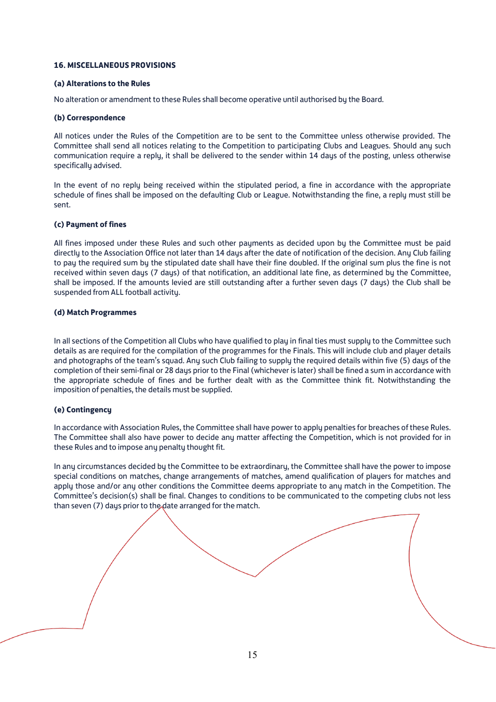## **16. MISCELLANEOUS PROVISIONS**

#### **(a) Alterations to the Rules**

No alteration or amendment to these Rules shall become operative until authorised by the Board.

#### **(b) Correspondence**

All notices under the Rules of the Competition are to be sent to the Committee unless otherwise provided. The Committee shall send all notices relating to the Competition to participating Clubs and Leagues. Should any such communication require a reply, it shall be delivered to the sender within 14 days of the posting, unless otherwise specifically advised.

In the event of no reply being received within the stipulated period, a fine in accordance with the appropriate schedule of fines shall be imposed on the defaulting Club or League. Notwithstanding the fine, a reply must still be sent.

#### **(c) Payment of fines**

All fines imposed under these Rules and such other payments as decided upon by the Committee must be paid directly to the Association Office not later than 14 days after the date of notification of the decision. Any Club failing to pay the required sum by the stipulated date shall have their fine doubled. If the original sum plus the fine is not received within seven days (7 days) of that notification, an additional late fine, as determined by the Committee, shall be imposed. If the amounts levied are still outstanding after a further seven daus (7 daus) the Club shall be suspended from ALL football activity.

#### **(d) Match Programmes**

In all sections of the Competition all Clubs who have qualified to play in final ties must supply to the Committee such details as are required for the compilation of the programmes for the Finals. This will include club and player details and photographs of the team's squad. Any such Club failing to supply the required details within five (5) days of the completion of their semi-final or 28 days prior to the Final (whichever is later) shall be fined a sum in accordance with the appropriate schedule of fines and be further dealt with as the Committee think fit. Notwithstanding the imposition of penalties, the details must be supplied.

## **(e) Contingency**

In accordance with Association Rules, the Committee shall have power to apply penalties for breaches of these Rules. The Committee shall also have power to decide any matter affecting the Competition, which is not provided for in these Rules and to impose any penalty thought fit.

In any circumstances decided by the Committee to be extraordinary, the Committee shall have the power to impose special conditions on matches, change arrangements of matches, amend qualification of players for matches and apply those and/or any other conditions the Committee deems appropriate to any match in the Competition. The Committee's decision(s) shall be final. Changes to conditions to be communicated to the competing clubs not less than seven (7) days prior to the date arranged for the match.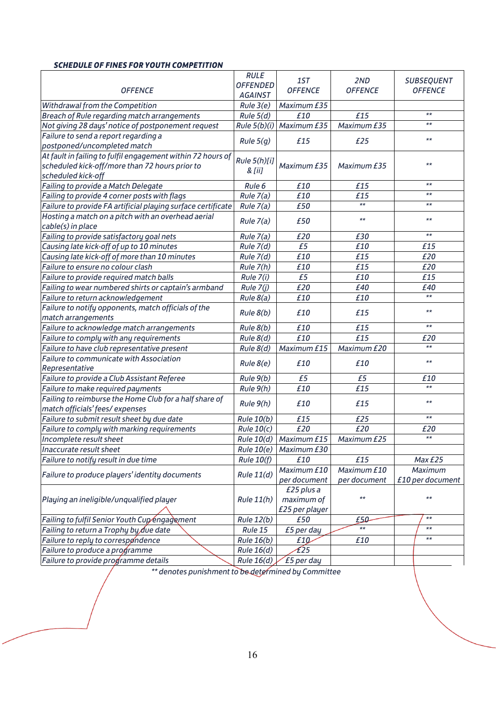# *SCHEDULE OF FINES FOR YOUTH COMPETITION*

| <b>OFFENCE</b>                                                                                                                      | <b>RULE</b><br><b>OFFENDED</b><br><b>AGAINST</b> | 1ST<br><b>OFFENCE</b>                      | 2ND<br><b>OFFENCE</b>       | <b>SUBSEQUENT</b><br><b>OFFENCE</b> |  |
|-------------------------------------------------------------------------------------------------------------------------------------|--------------------------------------------------|--------------------------------------------|-----------------------------|-------------------------------------|--|
| Withdrawal from the Competition                                                                                                     | Rule 3(e)                                        | Maximum £35                                |                             |                                     |  |
| Breach of Rule regarding match arrangements                                                                                         | Rule 5(d)                                        | £10                                        | £15                         | $***$                               |  |
| Not giving 28 days' notice of postponement request                                                                                  | Rule 5(b)(i)                                     | Maximum £35                                | Maximum £35                 | $***$                               |  |
| Failure to send a report regarding a                                                                                                |                                                  |                                            |                             |                                     |  |
| postponed/uncompleted match                                                                                                         | Rule $5(g)$                                      | £15                                        | £25                         | $***$                               |  |
| At fault in failing to fulfil engagement within 72 hours of<br>scheduled kick-off/more than 72 hours prior to<br>scheduled kick-off | Rule 5(h)[i]<br>& [ii]                           | Maximum £35                                | Maximum £35                 | $***$                               |  |
| Failing to provide a Match Delegate                                                                                                 | Rule 6                                           | £10                                        | £15                         | $***$                               |  |
| Failing to provide 4 corner posts with flags                                                                                        | Rule(7(a))                                       | £10                                        | £15                         | $***$                               |  |
| Failure to provide FA artificial playing surface certificate                                                                        | Rule 7(a)                                        | £50                                        | $***$                       | $***$                               |  |
| Hosting a match on a pitch with an overhead aerial<br>cable(s) in place                                                             | Rule $7(a)$                                      | £50                                        | $***$                       | $***$                               |  |
| Failing to provide satisfactory goal nets                                                                                           | Rule 7(a)                                        | £20                                        | £30                         | $***$                               |  |
| Causing late kick-off of up to 10 minutes                                                                                           | Rule 7(d)                                        | £5                                         | £10                         | £15                                 |  |
| Causing late kick-off of more than 10 minutes                                                                                       | Rule 7(d)                                        | £10                                        | £15                         | £20                                 |  |
| Failure to ensure no colour clash                                                                                                   | Rule 7(h)                                        | £10                                        | £15                         | £20                                 |  |
| Failure to provide required match balls                                                                                             | Rule 7(i)                                        | £5                                         | £10                         | £15                                 |  |
| Failing to wear numbered shirts or captain's armband                                                                                | Rule 7(j)                                        | £20                                        | £40                         | £40                                 |  |
| Failure to return acknowledgement                                                                                                   | Rule 8(a)                                        | £10                                        | £10                         | $**$                                |  |
| Failure to notify opponents, match officials of the<br>match arrangements                                                           | Rule 8(b)                                        | £10                                        | £15                         | $\star\star$                        |  |
| Failure to acknowledge match arrangements                                                                                           | Rule 8(b)                                        | £10                                        | £15                         | $***$                               |  |
| Failure to comply with any requirements                                                                                             | Rule 8(d)                                        | £10                                        | £15                         | £20                                 |  |
| Failure to have club representative present                                                                                         | Rule 8(d)                                        | Maximum £15                                | Maximum £20                 | $***$                               |  |
| <b>Failure to communicate with Association</b><br>Representative                                                                    | Rule 8(e)                                        | £10                                        | £10                         | $***$                               |  |
| Failure to provide a Club Assistant Referee                                                                                         | Rule 9(b)                                        | £5                                         | £5                          | £10                                 |  |
| Failure to make required payments                                                                                                   | Rule 9(h)                                        | £10                                        | £15                         | $***$                               |  |
| Failing to reimburse the Home Club for a half share of<br>match officials' fees/ expenses                                           | Rule 9(h)                                        | £10                                        | £15                         | $***$                               |  |
| Failure to submit result sheet by due date                                                                                          | <b>Rule 10(b)</b>                                | £15                                        | £25                         | $***$                               |  |
| Failure to comply with marking requirements                                                                                         | Rule 10(c)                                       | £20                                        | £20                         | £20                                 |  |
| Incomplete result sheet                                                                                                             |                                                  | Rule $10(d)$ Maximum £15                   | Maximum £25                 | $***$                               |  |
| Inaccurate result sheet                                                                                                             | Rule 10(e)                                       | Maximum £30                                |                             |                                     |  |
| Failure to notify result in due time                                                                                                | <b>Rule 10(f)</b>                                | £10                                        | £15                         | Max £25                             |  |
| Failure to produce players' identity documents                                                                                      | <b>Rule 11(d)</b>                                | Maximum £10<br>per document                | Maximum £10<br>per document | Maximum<br>£10 per document         |  |
| Playing an ineligible/unqualified player                                                                                            | <b>Rule 11(h)</b>                                | £25 plus a<br>maximum of<br>£25 per player | $***$                       | $***$                               |  |
| Failing to fulfil Senior Youth Cup/engagement                                                                                       | <b>Rule 12(b)</b>                                | £50                                        | £50                         | $***$                               |  |
| Failing to return a Trophy by due date                                                                                              | Rule 15                                          | £5 per day                                 |                             | $***$                               |  |
| Failure to reply to correspondence                                                                                                  | <b>Rule 16(b)</b>                                | £10                                        | £10                         | $\star\star$                        |  |
| Failure to produce a programme                                                                                                      | <b>Rule 16(d)</b>                                | £25                                        |                             |                                     |  |
| Failure to provide programme details                                                                                                | Rule 16(d)                                       | £5 per day                                 |                             |                                     |  |

*\*\* denotes punishment to be determined by Committee*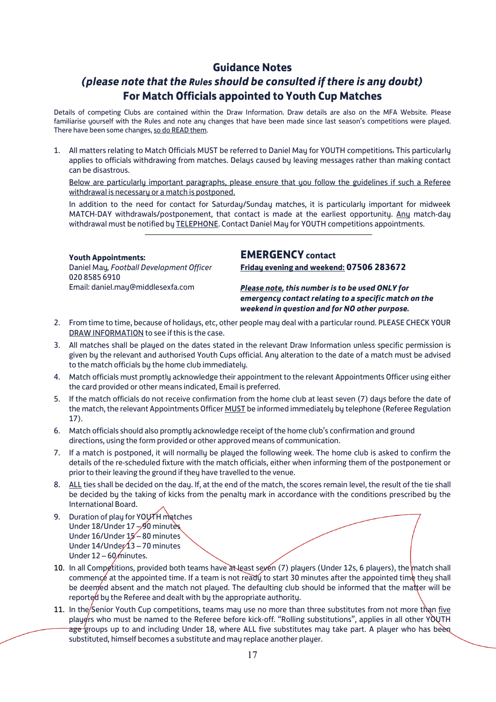# **Guidance Notes**

# *(please note that the Rules should be consulted if there is any doubt)* **For Match Officials appointed to Youth Cup Matches**

Details of competing Clubs are contained within the Draw Information. Draw details are also on the MFA Website. Please familiarise yourself with the Rules and note any changes that have been made since last season's competitions were played. There have been some changes, so do READ them.

1. All matters relating to Match Officials MUST be referred to Daniel May for YOUTH competitions. This particularly applies to officials withdrawing from matches. Delays caused by leaving messages rather than making contact can be disastrous.

Below are particularly important paragraphs, please ensure that you follow the guidelines if such a Referee withdrawal is necessary or a match is postponed.

In addition to the need for contact for Saturday/Sunday matches, it is particularly important for midweek MATCH-DAY withdrawals/postponement, that contact is made at the earliest opportunity. Any match-day withdrawal must be notified by TELEPHONE. Contact Daniel May for YOUTH competitions appointments.

## **Youth Appointments:**

Daniel May*, Football Development Officer* 020 8585 6910 Email: daniel.ma[y@middlesexfa.com](mailto:countycups@middlesexfa.com)

# **EMERGENCY contact**

**Friday evening and weekend: 07506 283672** 

*Please note, this number is to be used ONLY for emergency contact relating to a specific match on the weekend in question and for NO other purpose.*

- 2. From time to time, because of holidays, etc, other people may deal with a particular round. PLEASE CHECK YOUR DRAW INFORMATION to see if this is the case.
- 3. All matches shall be played on the dates stated in the relevant Draw Information unless specific permission is given by the relevant and authorised Youth Cups official. Any alteration to the date of a match must be advised to the match officials by the home club immediately.
- 4. Match officials must promptly acknowledge their appointment to the relevant Appointments Officer using either the card provided or other means indicated, Email is preferred.
- 5. If the match officials do not receive confirmation from the home club at least seven (7) days before the date of the match, the relevant Appointments Officer MUST be informed immediately by telephone (Referee Regulation 17).
- 6. Match officials should also promptly acknowledge receipt of the home club's confirmation and ground directions, using the form provided or other approved means of communication.
- 7. If a match is postponed, it will normally be played the following week. The home club is asked to confirm the details of the re-scheduled fixture with the match officials, either when informing them of the postponement or prior to their leaving the ground if they have travelled to the venue.
- 8. ALL ties shall be decided on the day. If, at the end of the match, the scores remain level, the result of the tie shall be decided by the taking of kicks from the penalty mark in accordance with the conditions prescribed by the International Board.
- 9. Duration of play for YOUTH matches Under 18/Under 17 - 90 minutes Under 16/Under 15 – 80 minutes Under  $14$ /Under $13 - 70$  minutes Under  $12 - 60$ /minutes.
- 10. In all Competitions, provided both teams have at least seven (7) players (Under 12s, 6 players), the match shall commence at the appointed time. If a team is not ready to start 30 minutes after the appointed time they shall be deemed absent and the match not played. The defaulting club should be informed that the matter will be reported by the Referee and dealt with by the appropriate authority.
- 11. In the Senior Youth Cup competitions, teams may use no more than three substitutes from not more than five players who must be named to the Referee before kick-off. "Rolling substitutions", applies in all other YOUTH age groups up to and including Under 18, where ALL five substitutes mau take part. A plauer who has been substituted, himself becomes a substitute and may replace another player.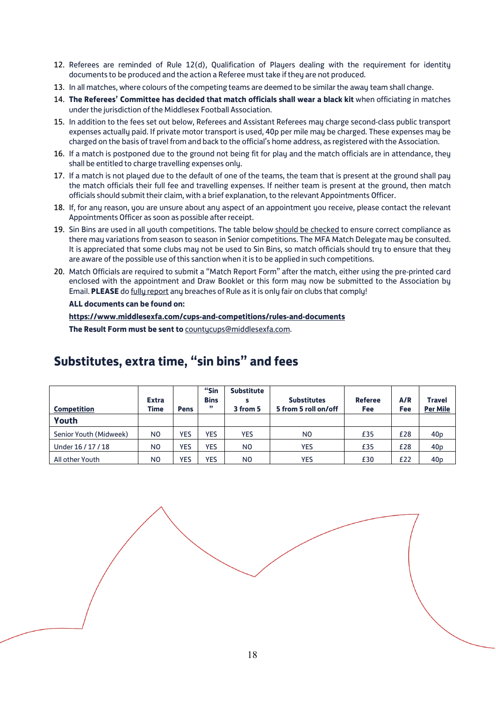- 12. Referees are reminded of Rule 12(d), Qualification of Players dealing with the requirement for identity documents to be produced and the action a Referee must take if they are not produced.
- 13. In all matches, where colours of the competing teams are deemed to be similar the away team shall change.
- 14. **The Referees' Committee has decided that match officials shall wear a black kit** when officiating in matches under the jurisdiction of the Middlesex Football Association.
- 15. In addition to the fees set out below, Referees and Assistant Referees may charge second-class public transport expenses actually paid. If private motor transport is used, 40p per mile may be charged. These expenses may be charged on the basis of travel from and back to the official's home address, as registered with the Association.
- 16. If a match is postponed due to the ground not being fit for play and the match officials are in attendance, they shall be entitled to charge travelling expenses only.
- 17. If a match is not played due to the default of one of the teams, the team that is present at the ground shall pay the match officials their full fee and travelling expenses. If neither team is present at the ground, then match officials should submit their claim, with a brief explanation, to the relevant Appointments Officer.
- 18. If, for any reason, you are unsure about any aspect of an appointment you receive, please contact the relevant Appointments Officer as soon as possible after receipt.
- 19. Sin Bins are used in all youth competitions. The table below should be checked to ensure correct compliance as there may variations from season to season in Senior competitions. The MFA Match Delegate may be consulted. It is appreciated that some clubs may not be used to Sin Bins, so match officials should try to ensure that they are aware of the possible use of this sanction when it is to be applied in such competitions.
- 20. Match Officials are required to submit a "Match Report Form" after the match, either using the pre-printed card enclosed with the appointment and Draw Booklet or this form may now be submitted to the Association by Email. **PLEASE** do fully report any breaches of Rule as it is only fair on clubs that comply!

## **ALL documents can be found on:**

**<https://www.middlesexfa.com/cups-and-competitions/rules-and-documents>**

**The Result Form must be sent to** [countycups@middlesexfa.com.](mailto:countycups@middlesexfa.com)

# **Substitutes, extra time, "sin bins" and fees**

| <b>Competition</b>     | <b>Extra</b><br>Time | <b>Pens</b> | "Sin<br><b>Bins</b><br>,, | <b>Substitute</b><br>3 from 5 | <b>Substitutes</b><br>5 from 5 roll on/off | <b>Referee</b><br>Fee | A/R<br>Fee | Travel<br><b>Per Mile</b> |
|------------------------|----------------------|-------------|---------------------------|-------------------------------|--------------------------------------------|-----------------------|------------|---------------------------|
| Youth                  |                      |             |                           |                               |                                            |                       |            |                           |
| Senior Youth (Midweek) | N <sub>0</sub>       | YES         | <b>YES</b>                | YES                           | NO.                                        | £35                   | £28        | 40p                       |
| Under 16 / 17 / 18     | N <sub>0</sub>       | YES         | YES                       | N <sub>0</sub>                | YES                                        | £35                   | £28        | 40p                       |
| All other Youth        | N <sub>0</sub>       | YES         | YES                       | N <sub>0</sub>                | YES                                        | £30                   | £22        | 40 <sub>p</sub>           |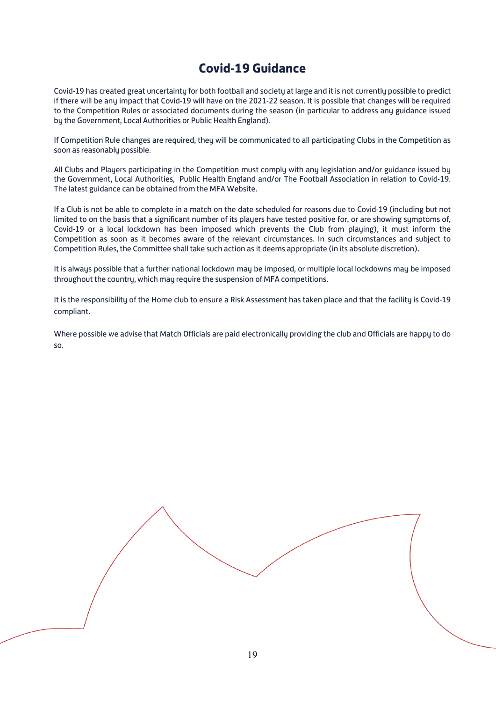# **Covid-19 Guidance**

Covid-19 has created great uncertainty for both football and society at large and it is not currently possible to predict if there will be any impact that Covid-19 will have on the 2021-22 season. It is possible that changes will be required to the Competition Rules or associated documents during the season (in particular to address any guidance issued by the Government, Local Authorities or Public Health England).

If Competition Rule changes are required, they will be communicated to all participating Clubs in the Competition as soon as reasonably possible.

All Clubs and Players participating in the Competition must comply with any legislation and/or guidance issued by the Government, Local Authorities, Public Health England and/or The Football Association in relation to Covid-19. The latest guidance can be obtained from the MFA Website.

If a Club is not be able to complete in a match on the date scheduled for reasons due to Covid-19 (including but not limited to on the basis that a significant number of its players have tested positive for, or are showing symptoms of, Covid-19 or a local lockdown has been imposed which prevents the Club from playing), it must inform the Competition as soon as it becomes aware of the relevant circumstances. In such circumstances and subject to Competition Rules, the Committee shall take such action as it deems appropriate (in its absolute discretion).

It is always possible that a further national lockdown may be imposed, or multiple local lockdowns may be imposed throughout the country, which may require the suspension of MFA competitions.

It is the responsibility of the Home club to ensure a Risk Assessment has taken place and that the facility is Covid-19 compliant.

Where possible we advise that Match Officials are paid electronically providing the club and Officials are happy to do so.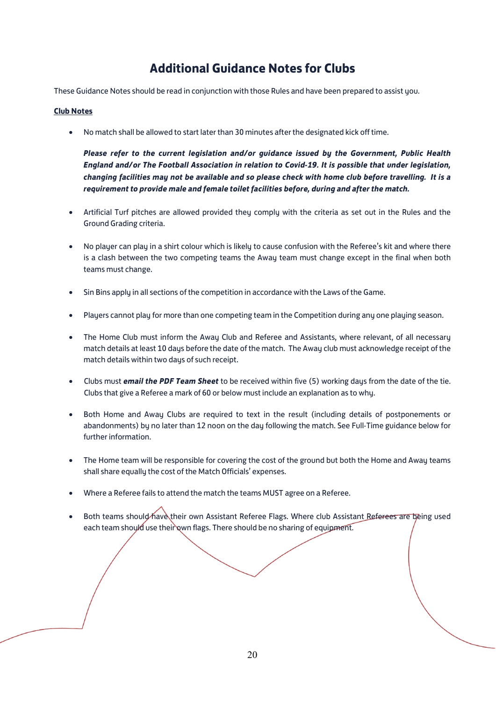# **Additional Guidance Notes for Clubs**

These Guidance Notes should be read in conjunction with those Rules and have been prepared to assist you.

# **Club Notes**

• No match shall be allowed to start later than 30 minutes after the designated kick off time.

*Please refer to the current legislation and/or guidance issued by the Government, Public Health England and/or The Football Association in relation to Covid-19. It is possible that under legislation, changing facilities may not be available and so please check with home club before travelling. It is a requirement to provide male and female toilet facilities before, during and after the match.*

- Artificial Turf pitches are allowed provided they comply with the criteria as set out in the Rules and the Ground Grading criteria.
- No player can play in a shirt colour which is likely to cause confusion with the Referee's kit and where there is a clash between the two competing teams the Away team must change except in the final when both teams must change.
- Sin Bins apply in all sections of the competition in accordance with the Laws of the Game.
- Players cannot play for more than one competing team in the Competition during any one playing season.
- The Home Club must inform the Away Club and Referee and Assistants, where relevant, of all necessary match details at least 10 days before the date of the match. The Away club must acknowledge receipt of the match details within two days of such receipt.
- Clubs must *email the PDF Team Sheet* to be received within five (5) working days from the date of the tie. Clubs that give a Referee a mark of 60 or below must include an explanation as to why.
- Both Home and Away Clubs are required to text in the result (including details of postponements or abandonments) by no later than 12 noon on the day following the match. See Full-Time guidance below for further information.
- The Home team will be responsible for covering the cost of the ground but both the Home and Away teams shall share equally the cost of the Match Officials' expenses.
- Where a Referee fails to attend the match the teams MUST agree on a Referee.
- Both teams should have their own Assistant Referee Flags. Where club Assistant Referees are being used each team should use their own flags. There should be no sharing of equipment.